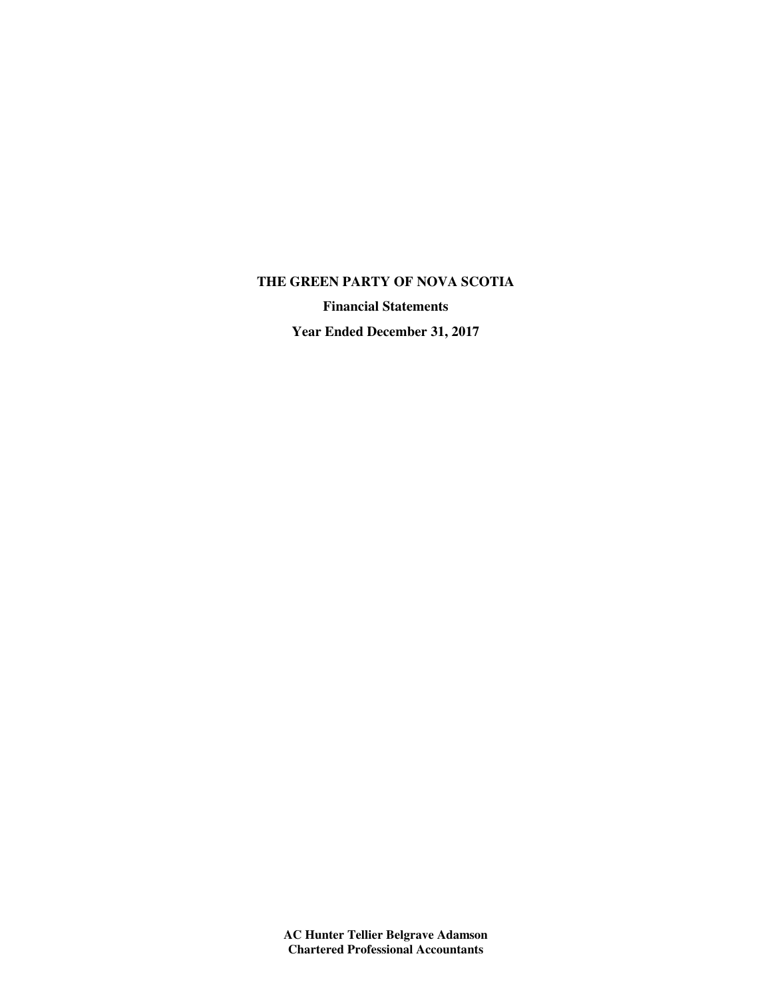## **THE GREEN PARTY OF NOVA SCOTIA**

**Financial Statements**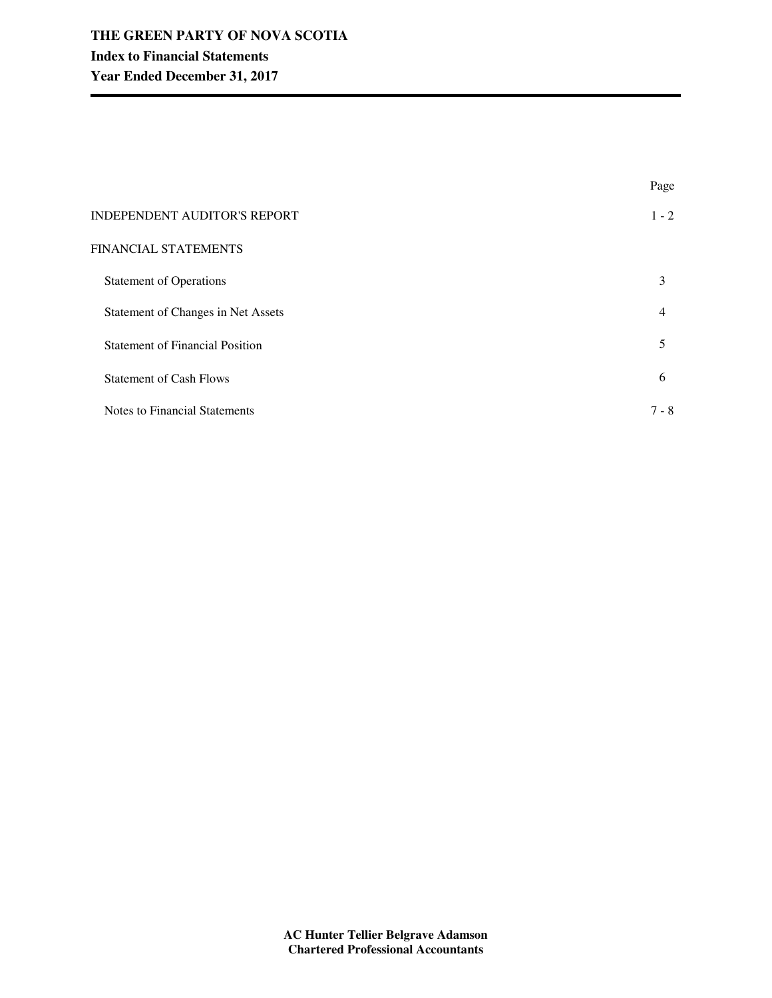|                                        | Page           |
|----------------------------------------|----------------|
| INDEPENDENT AUDITOR'S REPORT           | $1 - 2$        |
| FINANCIAL STATEMENTS                   |                |
| <b>Statement of Operations</b>         | 3              |
| Statement of Changes in Net Assets     | $\overline{4}$ |
| <b>Statement of Financial Position</b> | 5              |
| <b>Statement of Cash Flows</b>         | 6              |
| <b>Notes to Financial Statements</b>   | $7 - 8$        |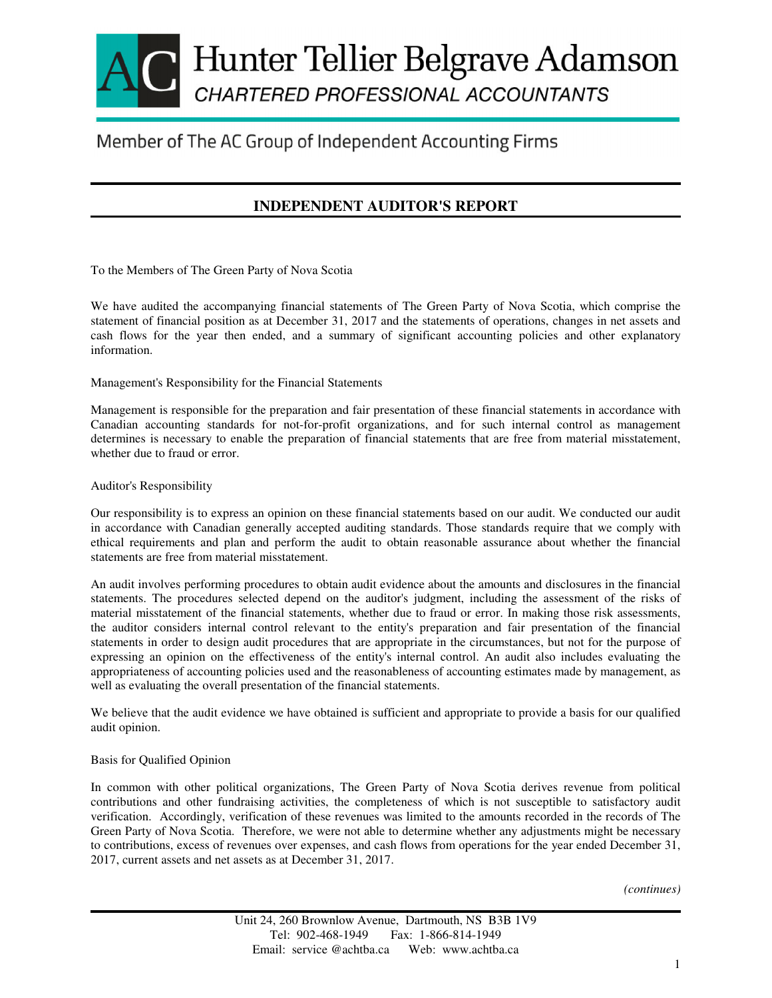# Hunter Tellier Belgrave Adamson CHARTERED PROFESSIONAL ACCOUNTANTS

# Member of The AC Group of Independent Accounting Firms

## **INDEPENDENT AUDITOR'S REPORT**

To the Members of The Green Party of Nova Scotia

We have audited the accompanying financial statements of The Green Party of Nova Scotia, which comprise the statement of financial position as at December 31, 2017 and the statements of operations, changes in net assets and cash flows for the year then ended, and a summary of significant accounting policies and other explanatory information.

Management's Responsibility for the Financial Statements

Management is responsible for the preparation and fair presentation of these financial statements in accordance with Canadian accounting standards for not-for-profit organizations, and for such internal control as management determines is necessary to enable the preparation of financial statements that are free from material misstatement, whether due to fraud or error.

#### Auditor's Responsibility

Our responsibility is to express an opinion on these financial statements based on our audit. We conducted our audit in accordance with Canadian generally accepted auditing standards. Those standards require that we comply with ethical requirements and plan and perform the audit to obtain reasonable assurance about whether the financial statements are free from material misstatement.

An audit involves performing procedures to obtain audit evidence about the amounts and disclosures in the financial statements. The procedures selected depend on the auditor's judgment, including the assessment of the risks of material misstatement of the financial statements, whether due to fraud or error. In making those risk assessments, the auditor considers internal control relevant to the entity's preparation and fair presentation of the financial statements in order to design audit procedures that are appropriate in the circumstances, but not for the purpose of expressing an opinion on the effectiveness of the entity's internal control. An audit also includes evaluating the appropriateness of accounting policies used and the reasonableness of accounting estimates made by management, as well as evaluating the overall presentation of the financial statements.

We believe that the audit evidence we have obtained is sufficient and appropriate to provide a basis for our qualified audit opinion.

#### Basis for Qualified Opinion

In common with other political organizations, The Green Party of Nova Scotia derives revenue from political contributions and other fundraising activities, the completeness of which is not susceptible to satisfactory audit verification. Accordingly, verification of these revenues was limited to the amounts recorded in the records of The Green Party of Nova Scotia. Therefore, we were not able to determine whether any adjustments might be necessary to contributions, excess of revenues over expenses, and cash flows from operations for the year ended December 31, 2017, current assets and net assets as at December 31, 2017.

*(continues)*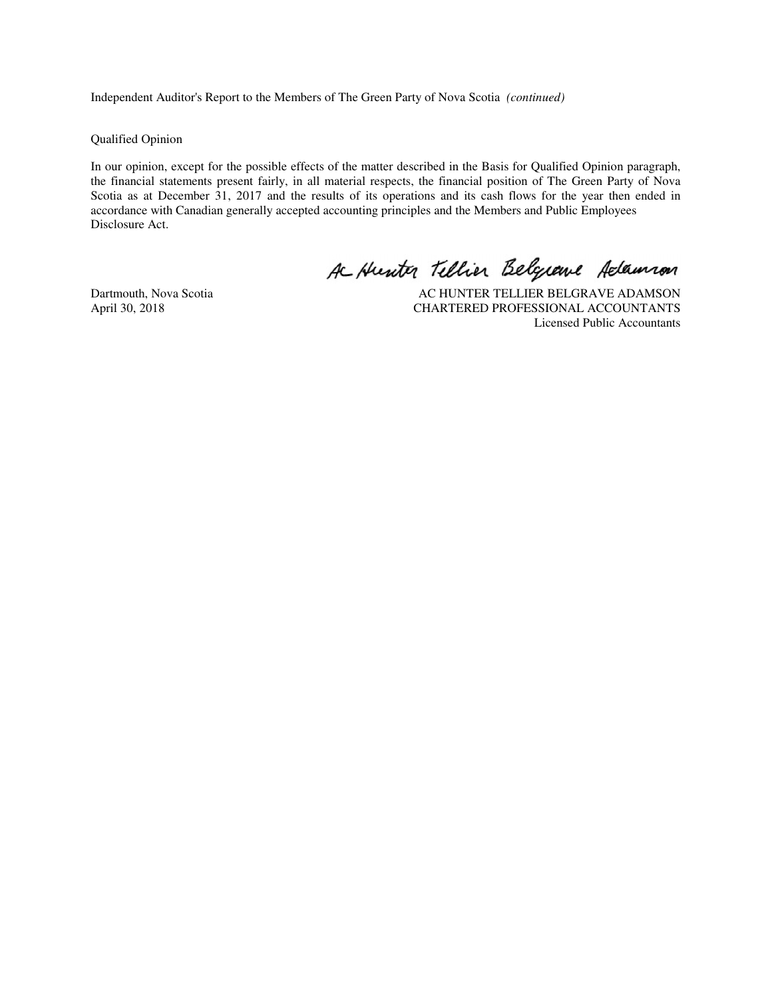Independent Auditor's Report to the Members of The Green Party of Nova Scotia *(continued)*

Qualified Opinion

In our opinion, except for the possible effects of the matter described in the Basis for Qualified Opinion paragraph, the financial statements present fairly, in all material respects, the financial position of The Green Party of Nova Scotia as at December 31, 2017 and the results of its operations and its cash flows for the year then ended in accordance with Canadian generally accepted accounting principles and the Members and Public Employees Disclosure Act.

A Hunter Tellier Belgiane Adamson

Dartmouth, Nova Scotia <br>AC HUNTER TELLIER BELGRAVE ADAMSON<br>CHARTERED PROFESSIONAL ACCOUNTANTS CHARTERED PROFESSIONAL ACCOUNTANTS Licensed Public Accountants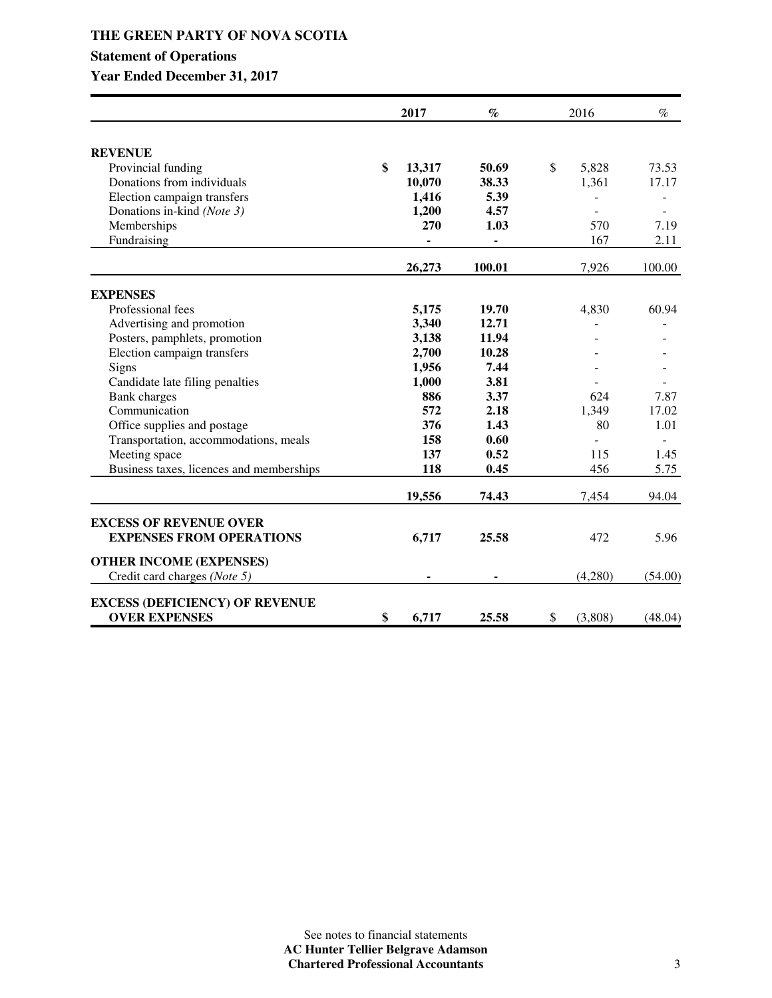### **THE GREEN PARTY OF NOVA SCOTIA**

## **Statement of Operations**

|                                          | 2017         | $\%$                         | 2016          | $\%$    |
|------------------------------------------|--------------|------------------------------|---------------|---------|
| <b>REVENUE</b>                           |              |                              |               |         |
| Provincial funding                       | \$<br>13,317 | 50.69                        | \$<br>5,828   | 73.53   |
| Donations from individuals               | 10,070       | 38.33                        | 1,361         | 17.17   |
| Election campaign transfers              | 1,416        | 5.39                         |               |         |
| Donations in-kind (Note 3)               | 1,200        | 4.57                         |               |         |
| Memberships                              | 270          | 1.03                         | 570           | 7.19    |
| Fundraising                              | -            | $\qquad \qquad \blacksquare$ | 167           | 2.11    |
|                                          | 26,273       | 100.01                       | 7,926         | 100.00  |
| <b>EXPENSES</b>                          |              |                              |               |         |
| Professional fees                        | 5,175        | 19.70                        | 4,830         | 60.94   |
| Advertising and promotion                | 3,340        | 12.71                        |               |         |
| Posters, pamphlets, promotion            | 3,138        | 11.94                        |               |         |
| Election campaign transfers              | 2,700        | 10.28                        |               |         |
| Signs                                    | 1,956        | 7.44                         |               |         |
| Candidate late filing penalties          | 1,000        | 3.81                         |               |         |
| <b>Bank</b> charges                      | 886          | 3.37                         | 624           | 7.87    |
| Communication                            | 572          | 2.18                         | 1,349         | 17.02   |
| Office supplies and postage              | 376          | 1.43                         | 80            | 1.01    |
| Transportation, accommodations, meals    | 158          | 0.60                         |               |         |
| Meeting space                            | 137          | 0.52                         | 115           | 1.45    |
| Business taxes, licences and memberships | 118          | 0.45                         | 456           | 5.75    |
|                                          | 19,556       | 74.43                        | 7,454         | 94.04   |
| <b>EXCESS OF REVENUE OVER</b>            |              |                              |               |         |
| <b>EXPENSES FROM OPERATIONS</b>          | 6,717        | 25.58                        | 472           | 5.96    |
| <b>OTHER INCOME (EXPENSES)</b>           |              |                              |               |         |
| Credit card charges (Note 5)             |              |                              | (4,280)       | (54.00) |
| <b>EXCESS (DEFICIENCY) OF REVENUE</b>    |              |                              |               |         |
| <b>OVER EXPENSES</b>                     | \$<br>6,717  | 25.58                        | \$<br>(3,808) | (48.04) |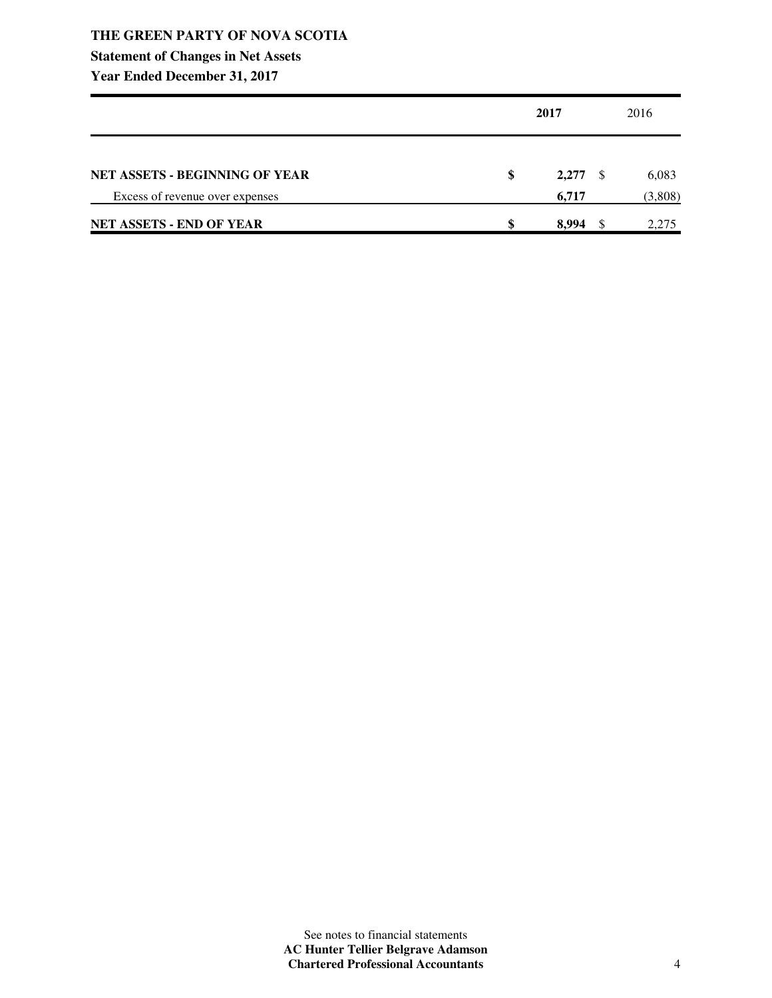## **THE GREEN PARTY OF NOVA SCOTIA**

## **Statement of Changes in Net Assets**

|                                       | 2017        |     | 2016    |  |
|---------------------------------------|-------------|-----|---------|--|
| <b>NET ASSETS - BEGINNING OF YEAR</b> | \$<br>2,277 | - S | 6,083   |  |
| Excess of revenue over expenses       | 6,717       |     | (3,808) |  |
| <b>NET ASSETS - END OF YEAR</b>       | \$<br>8.994 | -S  | 2,275   |  |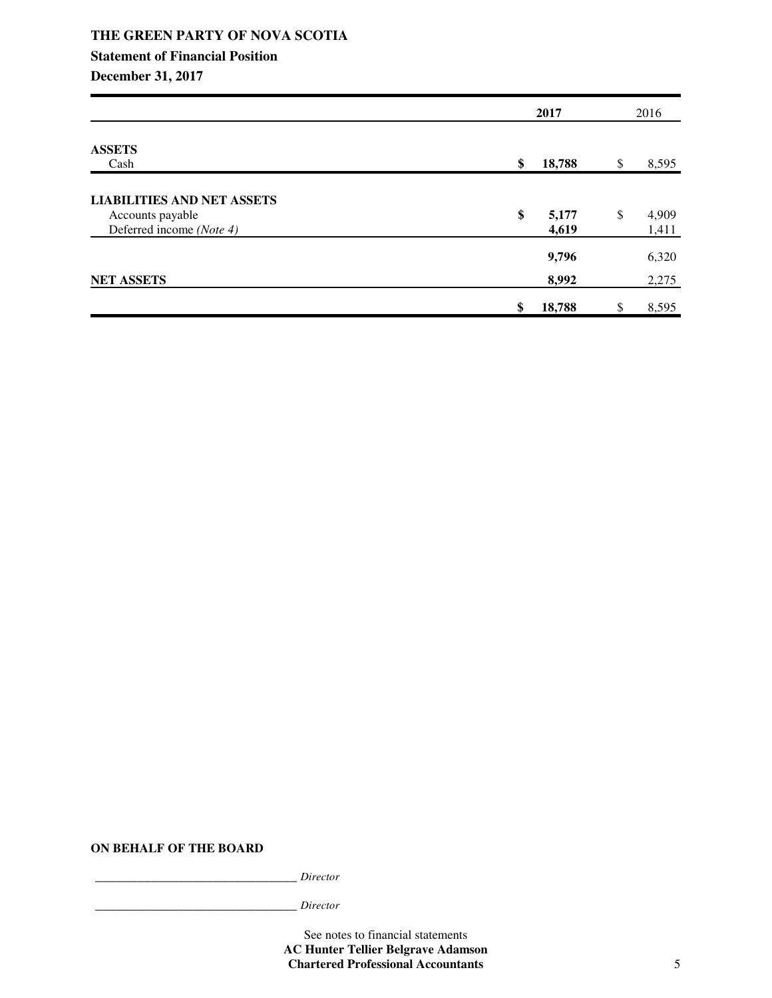|                                                                                   | 2017                 |    | 2016           |  |
|-----------------------------------------------------------------------------------|----------------------|----|----------------|--|
| <b>ASSETS</b><br>Cash                                                             | \$<br>18,788         | \$ | 8,595          |  |
| <b>LIABILITIES AND NET ASSETS</b><br>Accounts payable<br>Deferred income (Note 4) | \$<br>5,177<br>4,619 | \$ | 4,909<br>1,411 |  |
| <b>NET ASSETS</b>                                                                 | 9,796<br>8,992       |    | 6,320<br>2,275 |  |
|                                                                                   | \$<br>18,788         |    | 8,595          |  |

**ON BEHALF OF THE BOARD**

\_\_\_\_\_\_\_\_\_\_\_\_\_\_\_\_\_\_\_\_\_\_\_\_\_\_\_\_\_ *Director*

\_\_\_\_\_\_\_\_\_\_\_\_\_\_\_\_\_\_\_\_\_\_\_\_\_\_\_\_\_ *Director*

See notes to financial statements **AC Hunter Tellier Belgrave Adamson Chartered Professional Accountants** 5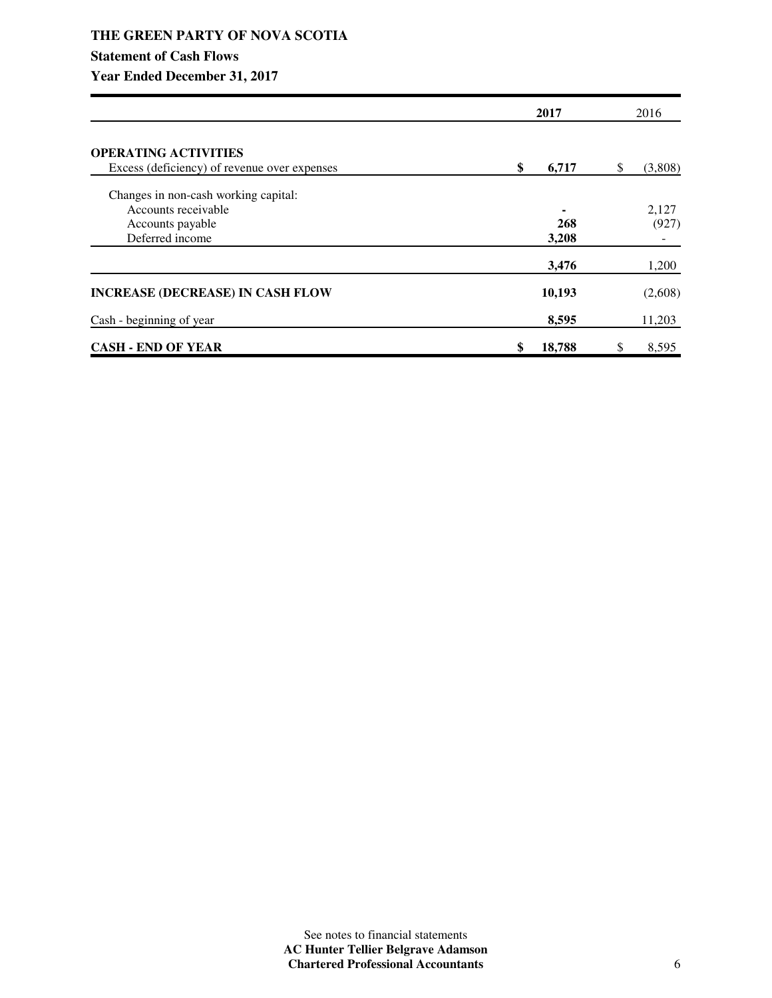## **THE GREEN PARTY OF NOVA SCOTIA Statement of Cash Flows**

|                                              | 2017         | 2016         |
|----------------------------------------------|--------------|--------------|
| <b>OPERATING ACTIVITIES</b>                  |              |              |
| Excess (deficiency) of revenue over expenses | \$<br>6,717  | (3,808)<br>S |
| Changes in non-cash working capital:         |              |              |
| Accounts receivable                          |              | 2,127        |
| Accounts payable                             | 268          | (927)        |
| Deferred income                              | 3,208        |              |
|                                              | 3,476        | 1,200        |
| <b>INCREASE (DECREASE) IN CASH FLOW</b>      | 10,193       | (2,608)      |
| Cash - beginning of year                     | 8,595        | 11,203       |
| <b>CASH - END OF YEAR</b>                    | \$<br>18,788 | 8,595<br>S   |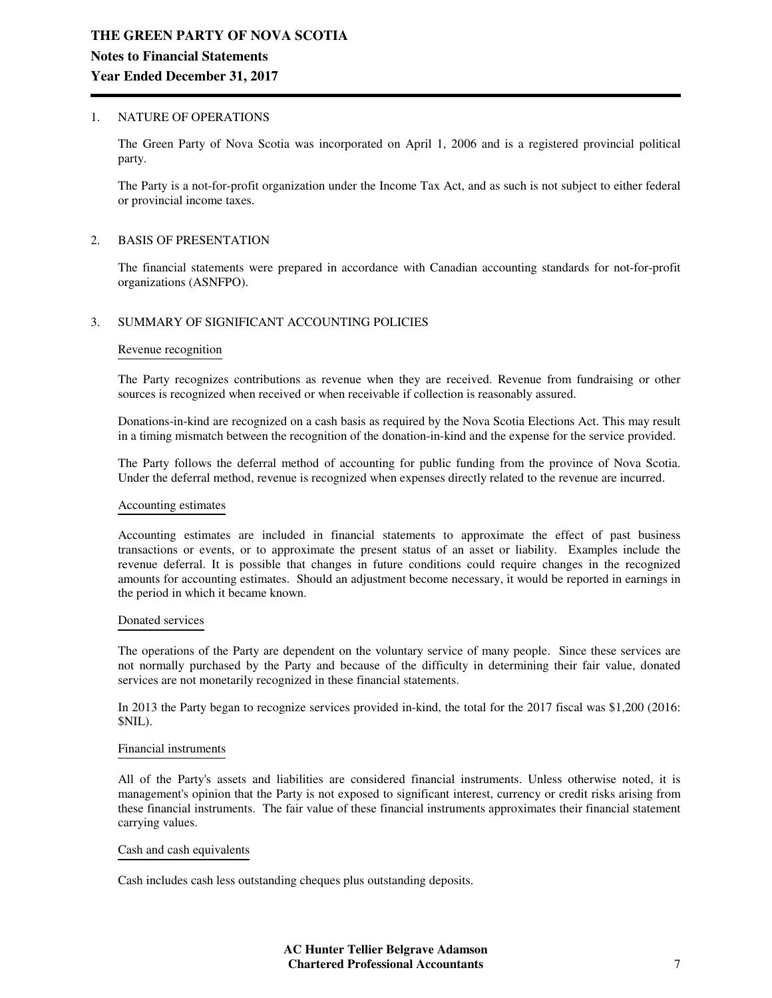#### 1. NATURE OF OPERATIONS

The Green Party of Nova Scotia was incorporated on April 1, 2006 and is a registered provincial political party.

The Party is a not-for-profit organization under the Income Tax Act, and as such is not subject to either federal or provincial income taxes.

#### 2. BASIS OF PRESENTATION

The financial statements were prepared in accordance with Canadian accounting standards for not-for-profit organizations (ASNFPO).

#### 3. SUMMARY OF SIGNIFICANT ACCOUNTING POLICIES

#### Revenue recognition

The Party recognizes contributions as revenue when they are received. Revenue from fundraising or other sources is recognized when received or when receivable if collection is reasonably assured.

Donations-in-kind are recognized on a cash basis as required by the Nova Scotia Elections Act. This may result in a timing mismatch between the recognition of the donation-in-kind and the expense for the service provided.

The Party follows the deferral method of accounting for public funding from the province of Nova Scotia. Under the deferral method, revenue is recognized when expenses directly related to the revenue are incurred.

#### Accounting estimates

Accounting estimates are included in financial statements to approximate the effect of past business transactions or events, or to approximate the present status of an asset or liability. Examples include the revenue deferral. It is possible that changes in future conditions could require changes in the recognized amounts for accounting estimates. Should an adjustment become necessary, it would be reported in earnings in the period in which it became known.

#### Donated services

The operations of the Party are dependent on the voluntary service of many people. Since these services are not normally purchased by the Party and because of the difficulty in determining their fair value, donated services are not monetarily recognized in these financial statements.

In 2013 the Party began to recognize services provided in-kind, the total for the 2017 fiscal was \$1,200 (2016: \$NIL).

#### Financial instruments

All of the Party's assets and liabilities are considered financial instruments. Unless otherwise noted, it is management's opinion that the Party is not exposed to significant interest, currency or credit risks arising from these financial instruments. The fair value of these financial instruments approximates their financial statement carrying values.

#### Cash and cash equivalents

Cash includes cash less outstanding cheques plus outstanding deposits.